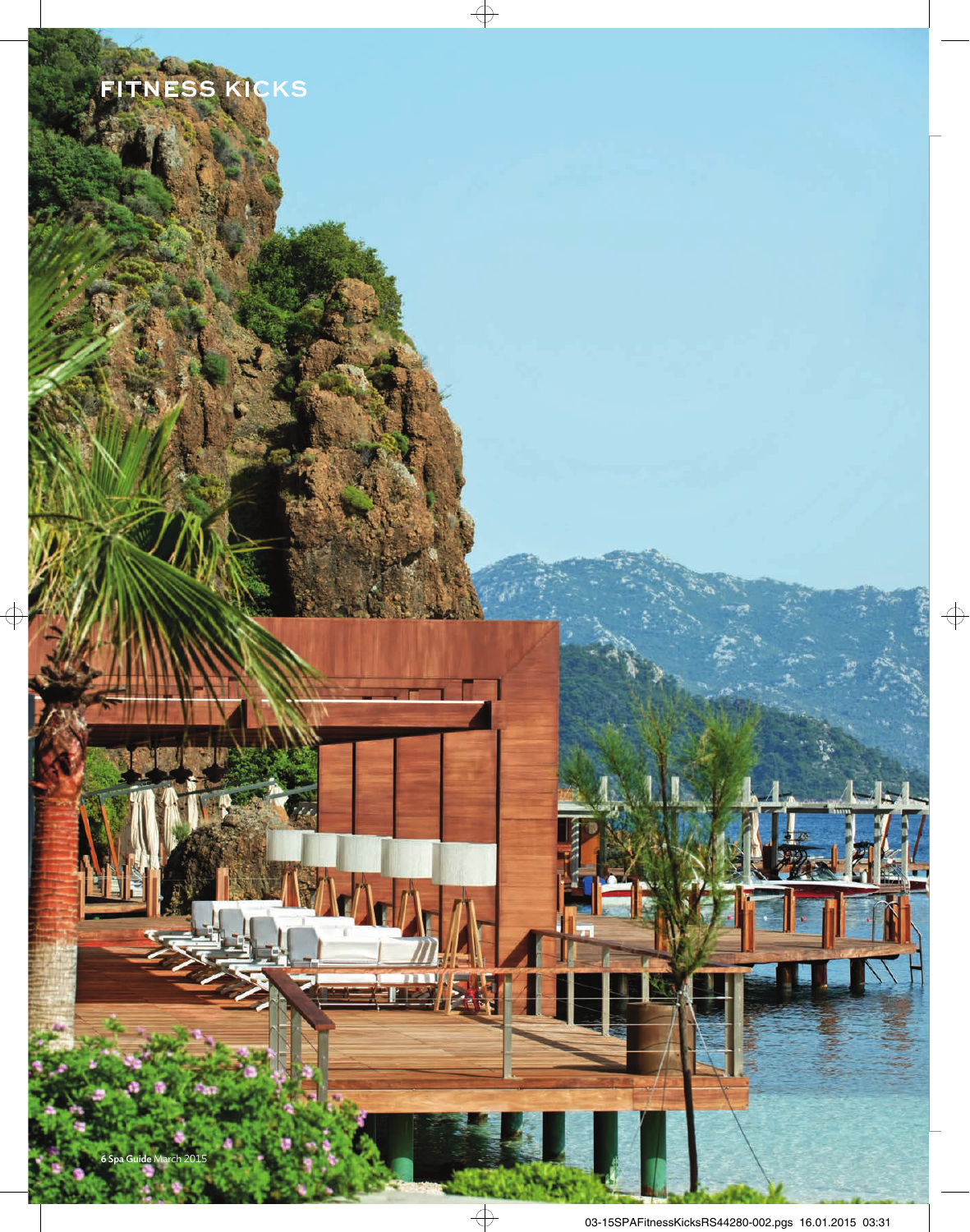